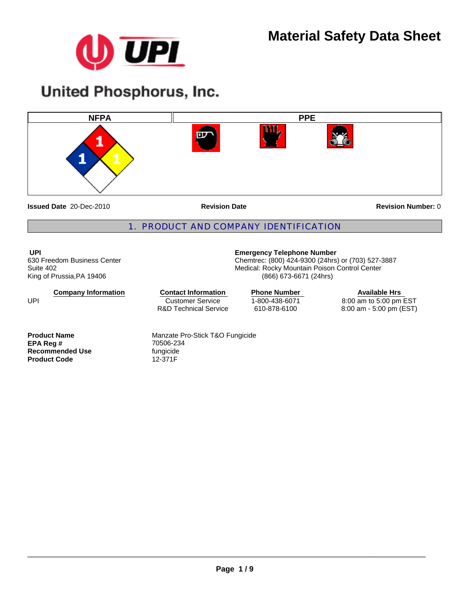

# **United Phosphorus, Inc.**



**Issued Date** 20-Dec-2010

**Revision Date** 

**Revision Number:** 0

# 1. PRODUCT AND COMPANY IDENTIFICATION

**UPI**  630 Freedom Business Center Suite 402 King of Prussia,PA 19406

**Company Information**

Customer Service R&D Technical Service **Contact Information Phone Number** 

(866) 673-6671 (24hrs)

**Emergency Telephone Number**

Chemtrec: (800) 424-9300 (24hrs) or (703) 527-3887 Medical: Rocky Mountain Poison Control Center

> 1-800-438-6071 610-878-6100

**Available Hrs**  8:00 am to 5:00 pm EST 8:00 am - 5:00 pm (EST)

**EPA Reg #** 70506-23<br>**Recommended Use** fungicide **Recommended Use** fungicide<br> **Product Code** 12-371F **Product Code** 

UPI

**Product Name Manzate Pro-Stick T&O Fungicide**<br> **EPA Req # Manzate Pro-Stick T&O Fungicide**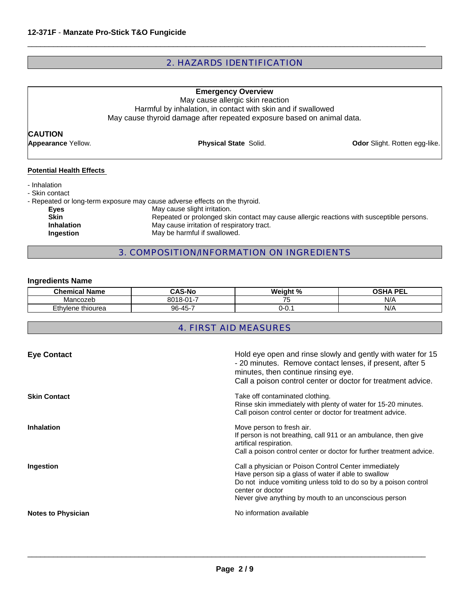# 2. HAZARDS IDENTIFICATION

 $\Box$ 

| <b>Emergency Overview</b><br>May cause allergic skin reaction<br>Harmful by inhalation, in contact with skin and if swallowed<br>May cause thyroid damage after repeated exposure based on animal data. |                                                                                                                                                                                                                                                                                       |                                      |
|---------------------------------------------------------------------------------------------------------------------------------------------------------------------------------------------------------|---------------------------------------------------------------------------------------------------------------------------------------------------------------------------------------------------------------------------------------------------------------------------------------|--------------------------------------|
| <b>CAUTION</b>                                                                                                                                                                                          |                                                                                                                                                                                                                                                                                       |                                      |
| <b>Appearance Yellow.</b>                                                                                                                                                                               | <b>Physical State Solid.</b>                                                                                                                                                                                                                                                          | <b>Odor</b> Slight. Rotten egg-like. |
| <b>Potential Health Effects</b><br>- Inhalation<br>- Skin contact<br>Eyes<br><b>Skin</b><br><b>Inhalation</b><br>Ingestion                                                                              | - Repeated or long-term exposure may cause adverse effects on the thyroid.<br>May cause slight irritation.<br>Repeated or prolonged skin contact may cause allergic reactions with susceptible persons.<br>May cause irritation of respiratory tract.<br>May be harmful if swallowed. |                                      |

# 3. COMPOSITION/INFORMATION ON INGREDIENTS

# **Ingredients Name**

| .<br>Chemical<br>Name | AS-No<br>ົ^                      | Weight %<br>"∕∩ | сна рег<br>-- |
|-----------------------|----------------------------------|-----------------|---------------|
| Mancozer<br>HUUZUL    | -<br>$\mathsf{A}$<br><b>0010</b> | $- -$<br>ີ      | N/F           |
| Ethylene thiourea     | 96-45-7                          | v.              | N/P           |

# 4. FIRST AID MEASURES

| <b>Eye Contact</b>        | Hold eye open and rinse slowly and gently with water for 15<br>- 20 minutes. Remove contact lenses, if present, after 5<br>minutes, then continue rinsing eye.<br>Call a poison control center or doctor for treatment advice.                               |
|---------------------------|--------------------------------------------------------------------------------------------------------------------------------------------------------------------------------------------------------------------------------------------------------------|
| <b>Skin Contact</b>       | Take off contaminated clothing.<br>Rinse skin immediately with plenty of water for 15-20 minutes.<br>Call poison control center or doctor for treatment advice.                                                                                              |
| <b>Inhalation</b>         | Move person to fresh air.<br>If person is not breathing, call 911 or an ambulance, then give<br>artifical respiration.<br>Call a poison control center or doctor for further treatment advice.                                                               |
| Ingestion                 | Call a physician or Poison Control Center immediately<br>Have person sip a glass of water if able to swallow<br>Do not induce vomiting unless told to do so by a poison control<br>center or doctor<br>Never give anything by mouth to an unconscious person |
| <b>Notes to Physician</b> | No information available                                                                                                                                                                                                                                     |

 $\_$  ,  $\_$  ,  $\_$  ,  $\_$  ,  $\_$  ,  $\_$  ,  $\_$  ,  $\_$  ,  $\_$  ,  $\_$  ,  $\_$  ,  $\_$  ,  $\_$  ,  $\_$  ,  $\_$  ,  $\_$  ,  $\_$  ,  $\_$  ,  $\_$  ,  $\_$  ,  $\_$  ,  $\_$  ,  $\_$  ,  $\_$  ,  $\_$  ,  $\_$  ,  $\_$  ,  $\_$  ,  $\_$  ,  $\_$  ,  $\_$  ,  $\_$  ,  $\_$  ,  $\_$  ,  $\_$  ,  $\_$  ,  $\_$  ,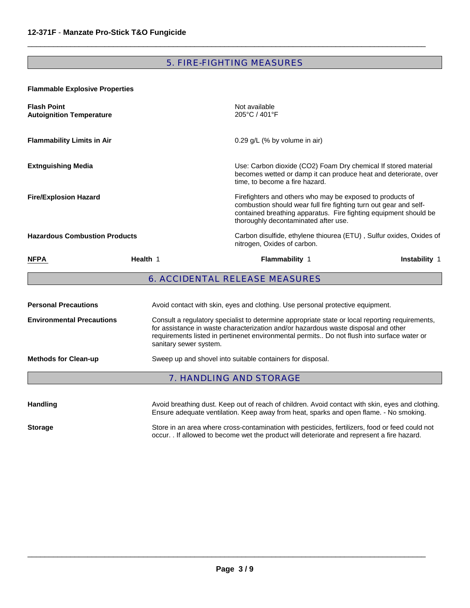# 5. FIRE-FIGHTING MEASURES

 $\Box$ 

## **Flammable Explosive Properties**

| <b>Flash Point</b><br><b>Autoignition Temperature</b> |                                                                                                                                                                                                                                                                                                               | Not available<br>205°C / 401°F                                                                                                                                                                                                             |                                                                     |  |
|-------------------------------------------------------|---------------------------------------------------------------------------------------------------------------------------------------------------------------------------------------------------------------------------------------------------------------------------------------------------------------|--------------------------------------------------------------------------------------------------------------------------------------------------------------------------------------------------------------------------------------------|---------------------------------------------------------------------|--|
| <b>Flammability Limits in Air</b>                     |                                                                                                                                                                                                                                                                                                               | $0.29$ g/L (% by volume in air)                                                                                                                                                                                                            |                                                                     |  |
| <b>Extnguishing Media</b>                             |                                                                                                                                                                                                                                                                                                               | Use: Carbon dioxide (CO2) Foam Dry chemical If stored material<br>becomes wetted or damp it can produce heat and deteriorate, over<br>time, to become a fire hazard.                                                                       |                                                                     |  |
| <b>Fire/Explosion Hazard</b>                          |                                                                                                                                                                                                                                                                                                               | Firefighters and others who may be exposed to products of<br>combustion should wear full fire fighting turn out gear and self-<br>contained breathing apparatus. Fire fighting equipment should be<br>thoroughly decontaminated after use. |                                                                     |  |
| <b>Hazardous Combustion Products</b>                  |                                                                                                                                                                                                                                                                                                               | nitrogen, Oxides of carbon.                                                                                                                                                                                                                | Carbon disulfide, ethylene thiourea (ETU), Sulfur oxides, Oxides of |  |
| <b>NFPA</b>                                           | Health 1                                                                                                                                                                                                                                                                                                      | <b>Flammability 1</b>                                                                                                                                                                                                                      | Instability 1                                                       |  |
|                                                       |                                                                                                                                                                                                                                                                                                               | <b>6. ACCIDENTAL RELEASE MEASURES</b>                                                                                                                                                                                                      |                                                                     |  |
| <b>Personal Precautions</b>                           |                                                                                                                                                                                                                                                                                                               | Avoid contact with skin, eyes and clothing. Use personal protective equipment.                                                                                                                                                             |                                                                     |  |
| <b>Environmental Precautions</b>                      | Consult a regulatory specialist to determine appropriate state or local reporting requirements,<br>for assistance in waste characterization and/or hazardous waste disposal and other<br>requirements listed in pertinenet environmental permits Do not flush into surface water or<br>sanitary sewer system. |                                                                                                                                                                                                                                            |                                                                     |  |
| <b>Methods for Clean-up</b>                           |                                                                                                                                                                                                                                                                                                               | Sweep up and shovel into suitable containers for disposal.                                                                                                                                                                                 |                                                                     |  |
|                                                       |                                                                                                                                                                                                                                                                                                               | <b>7. HANDLING AND STORAGE</b>                                                                                                                                                                                                             |                                                                     |  |
|                                                       |                                                                                                                                                                                                                                                                                                               |                                                                                                                                                                                                                                            |                                                                     |  |

| <b>Handling</b> | Avoid breathing dust. Keep out of reach of children. Avoid contact with skin, eyes and clothing.<br>Ensure adequate ventilation. Keep away from heat, sparks and open flame. - No smoking.   |
|-----------------|----------------------------------------------------------------------------------------------------------------------------------------------------------------------------------------------|
| <b>Storage</b>  | Store in an area where cross-contamination with pesticides, fertilizers, food or feed could not<br>occur. If allowed to become wet the product will deteriorate and represent a fire hazard. |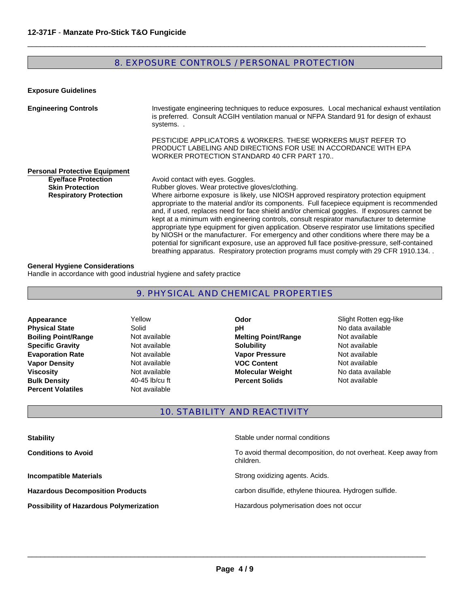# 8. EXPOSURE CONTROLS / PERSONAL PROTECTION

 $\Box$ 

**Exposure Guidelines**

| <b>Engineering Controls</b>                                                                                                   | Investigate engineering techniques to reduce exposures. Local mechanical exhaust ventilation<br>is preferred. Consult ACGIH ventilation manual or NFPA Standard 91 for design of exhaust<br>systems                                                                                                                                                                                                                                                                                                                                                                                                                                                                                                                                                                                                                                                             |
|-------------------------------------------------------------------------------------------------------------------------------|-----------------------------------------------------------------------------------------------------------------------------------------------------------------------------------------------------------------------------------------------------------------------------------------------------------------------------------------------------------------------------------------------------------------------------------------------------------------------------------------------------------------------------------------------------------------------------------------------------------------------------------------------------------------------------------------------------------------------------------------------------------------------------------------------------------------------------------------------------------------|
|                                                                                                                               | PESTICIDE APPLICATORS & WORKERS. THESE WORKERS MUST REFER TO<br>PRODUCT LABELING AND DIRECTIONS FOR USE IN ACCORDANCE WITH EPA<br>WORKER PROTECTION STANDARD 40 CFR PART 170                                                                                                                                                                                                                                                                                                                                                                                                                                                                                                                                                                                                                                                                                    |
| <b>Personal Protective Equipment</b><br><b>Eye/face Protection</b><br><b>Skin Protection</b><br><b>Respiratory Protection</b> | Avoid contact with eyes. Goggles.<br>Rubber gloves. Wear protective gloves/clothing.<br>Where airborne exposure is likely, use NIOSH approved respiratory protection equipment<br>appropriate to the material and/or its components. Full facepiece equipment is recommended<br>and, if used, replaces need for face shield and/or chemical goggles. If exposures cannot be<br>kept at a minimum with engineering controls, consult respirator manufacturer to determine<br>appropriate type equipment for given application. Observe respirator use limitations specified<br>by NIOSH or the manufacturer. For emergency and other conditions where there may be a<br>potential for significant exposure, use an approved full face positive-pressure, self-contained<br>breathing apparatus. Respiratory protection programs must comply with 29 CFR 1910.134 |

#### **General Hygiene Considerations**

Handle in accordance with good industrial hygiene and safety practice

# 9. PHYSICAL AND CHEMICAL PROPERTIES

- **Bulk Density 40-45 lb/cu ft Boiling Point/Range Not available Percent Volatiles Not available Evaporation Rate Not available Physical State Solid Appearance Vapor Density Not available**<br> **Viscosity Not available**
- Yellow
- **Percent Solids Melting Point/Range Not available Odor Slight Rotten egg-like Specific Gravity Not available <b>Solubility Solubility Not available Solubility Not available Vapor Pressure Not available VOC Content Not available pH** No data available **Molecular Weight** 
	- No data available<br>Not available

## 10. STABILITY AND REACTIVITY

| <b>Stability</b>                               | Stable under normal conditions                                               |
|------------------------------------------------|------------------------------------------------------------------------------|
| <b>Conditions to Avoid</b>                     | To avoid thermal decomposition, do not overheat. Keep away from<br>children. |
| <b>Incompatible Materials</b>                  | Strong oxidizing agents. Acids.                                              |
| <b>Hazardous Decomposition Products</b>        | carbon disulfide, ethylene thiourea. Hydrogen sulfide.                       |
| <b>Possibility of Hazardous Polymerization</b> | Hazardous polymerisation does not occur                                      |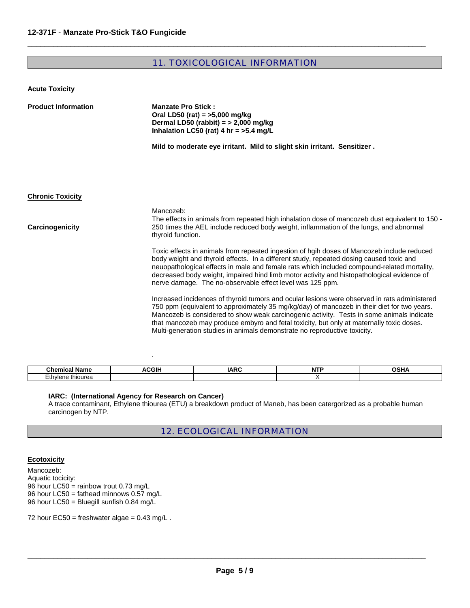# 11. TOXICOLOGICAL INFORMATION

 $\Box$ 

| <b>Acute Toxicity</b> |
|-----------------------|
|                       |

| <b>Product Information</b> | <b>Manzate Pro Stick:</b><br>Oral LD50 (rat) = $>5,000$ mg/kg<br>Dermal LD50 (rabbit) = $>$ 2,000 mg/kg<br>Inhalation LC50 (rat) 4 hr = $>5.4$ mg/L                                                                                                                                                                                                                                                                                                               |  |  |
|----------------------------|-------------------------------------------------------------------------------------------------------------------------------------------------------------------------------------------------------------------------------------------------------------------------------------------------------------------------------------------------------------------------------------------------------------------------------------------------------------------|--|--|
|                            | Mild to moderate eye irritant. Mild to slight skin irritant. Sensitizer.                                                                                                                                                                                                                                                                                                                                                                                          |  |  |
|                            |                                                                                                                                                                                                                                                                                                                                                                                                                                                                   |  |  |
| <b>Chronic Toxicity</b>    |                                                                                                                                                                                                                                                                                                                                                                                                                                                                   |  |  |
| Carcinogenicity            | Mancozeb:<br>The effects in animals from repeated high inhalation dose of mancozeb dust equivalent to 150 -<br>250 times the AEL include reduced body weight, inflammation of the lungs, and abnormal<br>thyroid function.                                                                                                                                                                                                                                        |  |  |
|                            | Toxic effects in animals from repeated ingestion of hgih doses of Mancozeb include reduced<br>body weight and thyroid effects. In a different study, repeated dosing caused toxic and<br>neuopathological effects in male and female rats which included compound-related mortality,<br>decreased body weight, impaired hind limb motor activity and histopathological evidence of<br>nerve damage. The no-observable effect level was 125 ppm.                   |  |  |
|                            | Increased incidences of thyroid tumors and ocular lesions were observed in rats administered<br>750 ppm (equivalent to approximately 35 mg/kg/day) of mancozeb in their diet for two years.<br>Mancozeb is considered to show weak carcinogenic activity. Tests in some animals indicate<br>that mancozeb may produce embyro and fetal toxicity, but only at maternally toxic doses.<br>Multi-generation studies in animals demonstrate no reproductive toxicity. |  |  |

| <b>Chamics.</b><br>' Nam⊾ | <b>\CGII</b><br>^^ | .<br>1Д.<br>רי<br>. | .<br>. | <b>00118</b><br>. ., |
|---------------------------|--------------------|---------------------|--------|----------------------|
| Ethylene<br>thiourea<br>. |                    |                     |        |                      |

#### **IARC: (International Agency for Research on Cancer)**

.

A trace contaminant, Ethylene thiourea (ETU) a breakdown product of Maneb, has been catergorized as a probable human carcinogen by NTP.

# 12. ECOLOGICAL INFORMATION

#### **Ecotoxicity**

Mancozeb: Aquatic tocicity: 96 hour LC50 = rainbow trout 0.73 mg/L 96 hour LC50 = fathead minnows 0.57 mg/L 96 hour LC50 = Bluegill sunfish 0.84 mg/L

72 hour EC50 = freshwater algae =  $0.43$  mg/L.

 $\_$  ,  $\_$  ,  $\_$  ,  $\_$  ,  $\_$  ,  $\_$  ,  $\_$  ,  $\_$  ,  $\_$  ,  $\_$  ,  $\_$  ,  $\_$  ,  $\_$  ,  $\_$  ,  $\_$  ,  $\_$  ,  $\_$  ,  $\_$  ,  $\_$  ,  $\_$  ,  $\_$  ,  $\_$  ,  $\_$  ,  $\_$  ,  $\_$  ,  $\_$  ,  $\_$  ,  $\_$  ,  $\_$  ,  $\_$  ,  $\_$  ,  $\_$  ,  $\_$  ,  $\_$  ,  $\_$  ,  $\_$  ,  $\_$  ,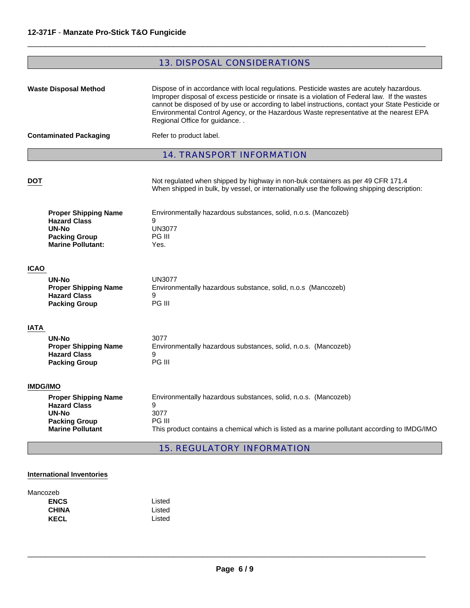# 13. DISPOSAL CONSIDERATIONS

 $\Box$ 

| <b>Waste Disposal Method</b><br><b>Contaminated Packaging</b> |                                                                                                                 | Dispose of in accordance with local regulations. Pesticide wastes are acutely hazardous.<br>Improper disposal of excess pesticide or rinsate is a violation of Federal law. If the wastes<br>cannot be disposed of by use or according to label instructions, contact your State Pesticide or<br>Environmental Control Agency, or the Hazardous Waste representative at the nearest EPA<br>Regional Office for guidance<br>Refer to product label. |  |
|---------------------------------------------------------------|-----------------------------------------------------------------------------------------------------------------|----------------------------------------------------------------------------------------------------------------------------------------------------------------------------------------------------------------------------------------------------------------------------------------------------------------------------------------------------------------------------------------------------------------------------------------------------|--|
|                                                               |                                                                                                                 | <b>14. TRANSPORT INFORMATION</b>                                                                                                                                                                                                                                                                                                                                                                                                                   |  |
| <b>DOT</b>                                                    |                                                                                                                 | Not regulated when shipped by highway in non-buk containers as per 49 CFR 171.4<br>When shipped in bulk, by vessel, or internationally use the following shipping description:                                                                                                                                                                                                                                                                     |  |
|                                                               | <b>Proper Shipping Name</b><br><b>Hazard Class</b><br>UN-No<br><b>Packing Group</b><br><b>Marine Pollutant:</b> | Environmentally hazardous substances, solid, n.o.s. (Mancozeb)<br>9<br><b>UN3077</b><br>PG III<br>Yes.                                                                                                                                                                                                                                                                                                                                             |  |
| <b>ICAO</b>                                                   |                                                                                                                 |                                                                                                                                                                                                                                                                                                                                                                                                                                                    |  |
|                                                               | UN-No<br><b>Proper Shipping Name</b><br><b>Hazard Class</b><br><b>Packing Group</b>                             | <b>UN3077</b><br>Environmentally hazardous substance, solid, n.o.s (Mancozeb)<br>9<br>PG III                                                                                                                                                                                                                                                                                                                                                       |  |
| IATA                                                          |                                                                                                                 |                                                                                                                                                                                                                                                                                                                                                                                                                                                    |  |
|                                                               | <b>UN-No</b><br><b>Proper Shipping Name</b><br><b>Hazard Class</b><br><b>Packing Group</b>                      | 3077<br>Environmentally hazardous substances, solid, n.o.s. (Mancozeb)<br>9<br>PG III                                                                                                                                                                                                                                                                                                                                                              |  |
| <b>IMDG/IMO</b>                                               |                                                                                                                 |                                                                                                                                                                                                                                                                                                                                                                                                                                                    |  |
|                                                               | <b>Proper Shipping Name</b><br><b>Hazard Class</b><br>UN-No<br><b>Packing Group</b><br><b>Marine Pollutant</b>  | Environmentally hazardous substances, solid, n.o.s. (Mancozeb)<br>9<br>3077<br>PG III<br>This product contains a chemical which is listed as a marine pollutant according to IMDG/IMO                                                                                                                                                                                                                                                              |  |
|                                                               |                                                                                                                 | <b>15. REGULATORY INFORMATION</b>                                                                                                                                                                                                                                                                                                                                                                                                                  |  |

## **International Inventories**

| Mancozeb     |        |
|--------------|--------|
| <b>ENCS</b>  | Listed |
| <b>CHINA</b> | Listed |
| <b>KECL</b>  | Listed |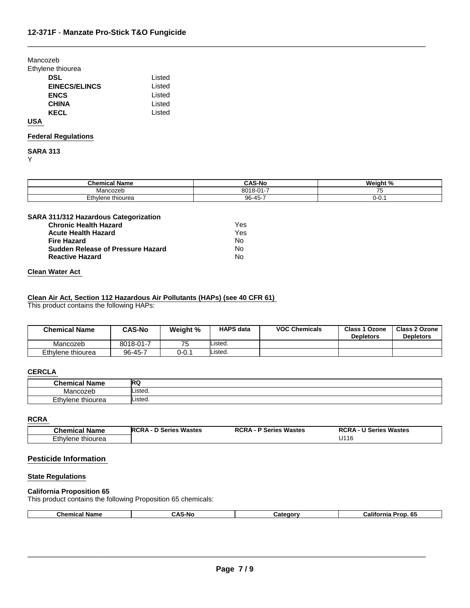Mancozeb

Ethylene thiourea

| <b>DSL</b>           | Listed |
|----------------------|--------|
| <b>EINECS/ELINCS</b> | Listed |
| <b>ENCS</b>          | Listed |
| <b>CHINA</b>         | Listed |
| <b>KECL</b>          | Listed |
|                      |        |

#### **USA**

#### **Federal Regulations**

**SARA 313** Y

| <b>Chemical Name</b> | <b>CAS-No</b> | Weight %      |
|----------------------|---------------|---------------|
| Mancozeb             | 8018-01-7     | $\rightarrow$ |
| Ethylene thiourea    | 96-45-7       | U-U. 1        |

 $\Box$ 

#### **SARA 311/312 Hazardous Categorization**

| <b>Chronic Health Hazard</b>             | Yes |
|------------------------------------------|-----|
| <b>Acute Health Hazard</b>               | Yes |
| <b>Fire Hazard</b>                       | N٥  |
| <b>Sudden Release of Pressure Hazard</b> | Nο  |
| <b>Reactive Hazard</b>                   | N٥  |

#### **Clean Water Act**

### **Clean Air Act, Section 112 Hazardous Air Pollutants (HAPs) (see 40 CFR 61)**

This product contains the following HAPs:

| <b>Chemical Name</b> | <b>CAS-No</b> | Weight % | <b>HAPS data</b> | <b>VOC Chemicals</b> | <b>Class 1 Ozone</b><br><b>Depletors</b> | Class 2 Ozone<br><b>Depletors</b> |
|----------------------|---------------|----------|------------------|----------------------|------------------------------------------|-----------------------------------|
| Mancozeb             | 8018-01-7     | 75       | ∟isted.          |                      |                                          |                                   |
| Ethylene thiourea    | 96-45-7       | 0-0.1    | Listed.          |                      |                                          |                                   |

# **CERCLA**

| <b>Chemical Name</b> | <b>RQ</b> |
|----------------------|-----------|
| .vlan<br>, UUZUL     | Listed.   |
| Ethylene thiourea    | Listed.   |

#### **RCRA**

| <b>Chemical Name</b>            | D Series Wastes | <b>RCRA</b>            | U Series Wastes |
|---------------------------------|-----------------|------------------------|-----------------|
|                                 | <b>RCRA</b>     | <b>P Series Wastes</b> | <b>RCRA</b>     |
| <i>E</i> th∨lene≟<br>∙ thiourea |                 |                        | U116            |

### **Pesticide Information**

## **State Regulations**

#### **California Proposition 65**

This product contains the following Proposition 65 chemicals:

| .<br>Name<br>.ner | -NIC<br>™~ | anorv<br>-- | <br>$\mathbf{r}$<br>- - --<br>:alif<br>. 65<br>'ron. |
|-------------------|------------|-------------|------------------------------------------------------|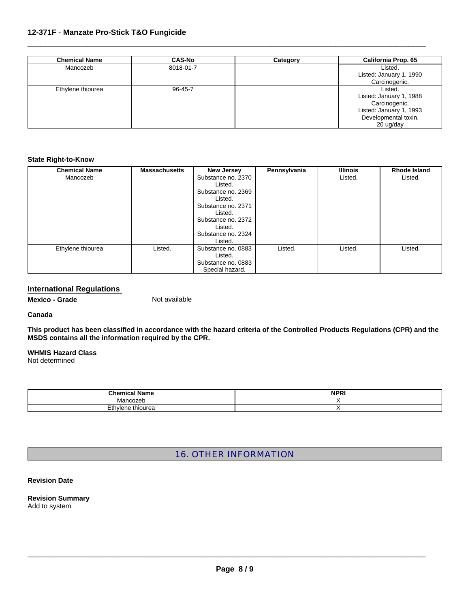## **12-371F** - **Manzate Pro-Stick T&O Fungicide**

| <b>Chemical Name</b> | <b>CAS-No</b> | Category | <b>California Prop. 65</b> |
|----------------------|---------------|----------|----------------------------|
| Mancozeb             | 8018-01-7     |          | Listed.                    |
|                      |               |          | Listed: January 1, 1990    |
|                      |               |          | Carcinogenic.              |
| Ethylene thiourea    | $96 - 45 - 7$ |          | Listed.                    |
|                      |               |          | Listed: January 1, 1988    |
|                      |               |          | Carcinogenic.              |
|                      |               |          | Listed: January 1, 1993    |
|                      |               |          | Developmental toxin.       |
|                      |               |          | 20 ug/day                  |

 $\Box$ 

#### **State Right-to-Know**

| <b>Chemical Name</b> | <b>Massachusetts</b> | <b>New Jersey</b>  | Pennsylvania | <b>Illinois</b> | Rhode Island |
|----------------------|----------------------|--------------------|--------------|-----------------|--------------|
| Mancozeb             |                      | Substance no. 2370 |              | Listed.         | Listed.      |
|                      |                      | Listed.            |              |                 |              |
|                      |                      | Substance no. 2369 |              |                 |              |
|                      |                      | Listed.            |              |                 |              |
|                      |                      | Substance no. 2371 |              |                 |              |
|                      |                      | Listed.            |              |                 |              |
|                      |                      | Substance no. 2372 |              |                 |              |
|                      |                      | Listed.            |              |                 |              |
|                      |                      | Substance no. 2324 |              |                 |              |
|                      |                      | Listed.            |              |                 |              |
| Ethylene thiourea    | Listed.              | Substance no. 0883 | Listed.      | Listed.         | Listed.      |
|                      |                      | Listed.            |              |                 |              |
|                      |                      | Substance no. 0883 |              |                 |              |
|                      |                      | Special hazard.    |              |                 |              |

## **International Regulations**

**Mexico - Grade Not available** 

#### **Canada**

**This product has been classified in accordance with the hazard criteria of the Controlled Products Regulations (CPR) and the MSDS contains all the information required by the CPR.**

### **WHMIS Hazard Class**

Not determined

| --<br><b>Chemic</b> <sub>o</sub><br>name | <b>NPRI</b> |
|------------------------------------------|-------------|
| Manos:<br>--                             |             |
| $-$<br>thiourea<br>⊏tn∨ie<br>מר<br>--    |             |

# 16. OTHER INFORMATION

#### **Revision Date**

**Revision Summary**  Add to system